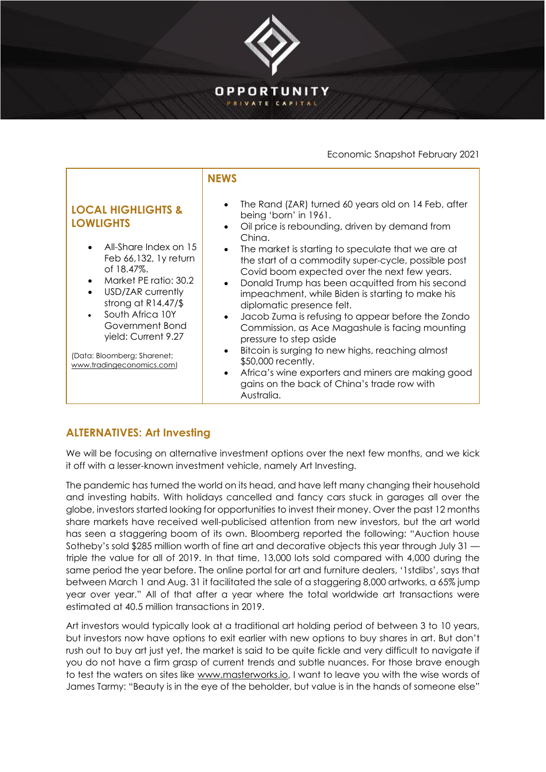

## Economic Snapshot February 2021

## **ALTERNATIVES: Art Investing**

We will be focusing on alternative investment options over the next few months, and we kick it off with a lesser-known investment vehicle, namely Art Investing.

The pandemic has turned the world on its head, and have left many changing their household and investing habits. With holidays cancelled and fancy cars stuck in garages all over the globe, investors started looking for opportunities to invest their money. Over the past 12 months share markets have received well-publicised attention from new investors, but the art world has seen a staggering boom of its own. Bloomberg reported the following: "Auction house Sotheby's sold \$285 million worth of fine art and decorative objects this year through July 31 triple the value for all of 2019. In that time, 13,000 lots sold compared with 4,000 during the same period the year before. The online portal for art and furniture dealers, '1stdibs', says that between March 1 and Aug. 31 it facilitated the sale of a staggering 8,000 artworks, a 65% jump year over year." All of that after a year where the total worldwide art transactions were estimated at 40.5 million transactions in 2019.

Art investors would typically look at a traditional art holding period of between 3 to 10 years, but investors now have options to exit earlier with new options to buy shares in art. But don't rush out to buy art just yet, the market is said to be quite fickle and very difficult to navigate if you do not have a firm grasp of current trends and subtle nuances. For those brave enough to test the waters on sites like [www.masterworks.io,](http://www.masterworks.io/) I want to leave you with the wise words of James Tarmy: "Beauty is in the eye of the beholder, but value is in the hands of someone else"